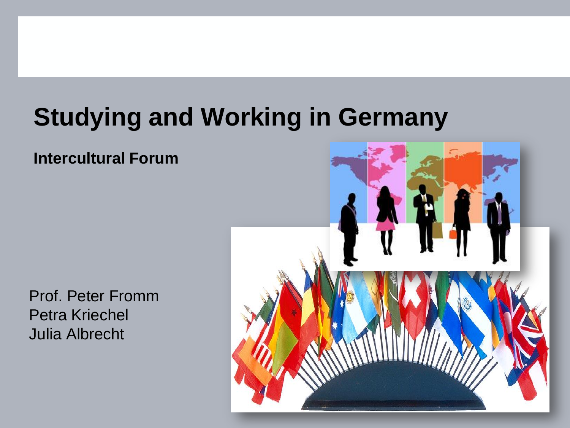# **Studying and Working in Germany**

#### **Intercultural Forum**

Prof. Peter Fromm Petra Kriechel Julia Albrecht

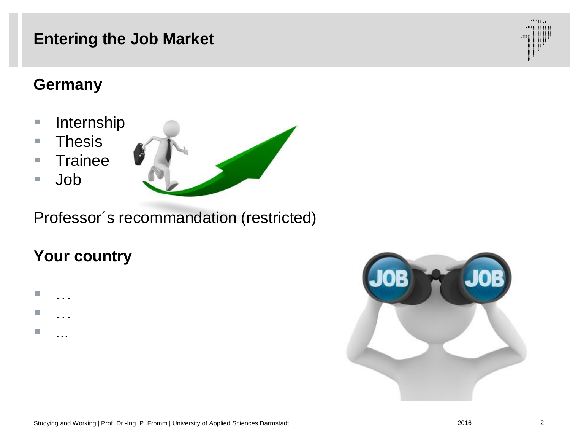## **Entering the Job Market**

#### **Germany**

- **Internship**
- Thesis
- Trainee
- Job



Professor´s recommandation (restricted)

### **Your country**





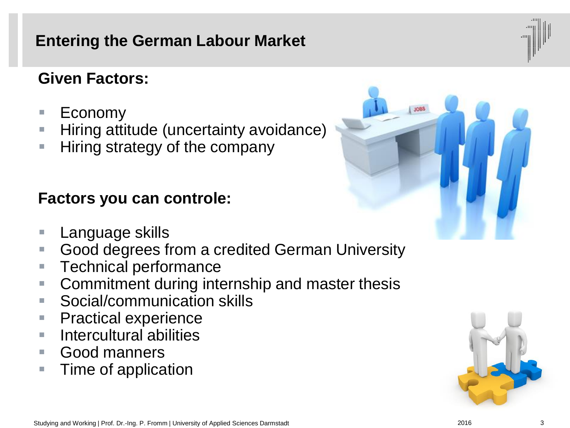#### **Entering the German Labour Market**

#### **Given Factors:**

- Economy
- **Hiring attitude (uncertainty avoidance)**
- **Hiring strategy of the company**

#### **Factors you can controle:**

- Language skills
- Good degrees from a credited German University
- **Technical performance**
- **Commitment during internship and master thesis**
- Social/communication skills
- **Practical experience**
- **Intercultural abilities**
- Good manners
- **Time of application**







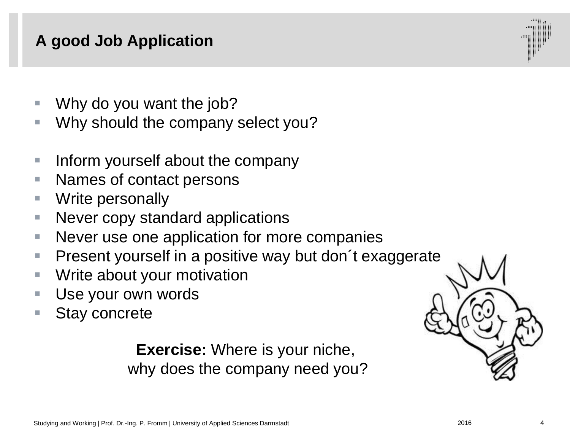# **A good Job Application**

- Why do you want the job?
- **Why should the company select you?**
- $\blacksquare$  Inform yourself about the company
- Names of contact persons
- **Write personally**
- **Never copy standard applications**
- Never use one application for more companies
- Present yourself in a positive way but don t exaggerate
- **Write about your motivation**
- **Use your own words**
- Stay concrete

**Exercise:** Where is your niche, why does the company need you?

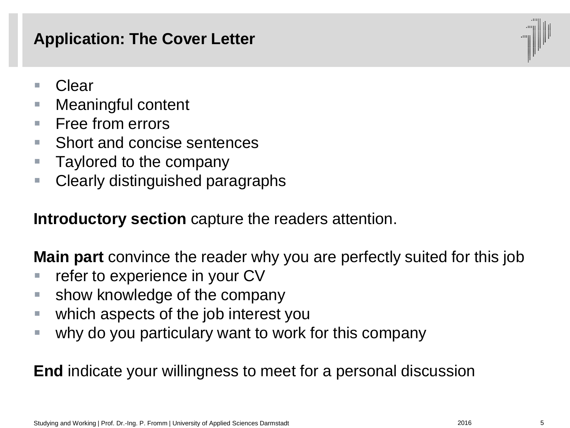## **Application: The Cover Letter**



- Clear
- **Neaningful content**
- $\blacksquare$  Free from errors
- Short and concise sentences
- **Taylored to the company**
- Clearly distinguished paragraphs

**Introductory section** capture the readers attention.

**Main part** convince the reader why you are perfectly suited for this job

- **F** refer to experience in your CV
- **show knowledge of the company**
- which aspects of the job interest you
- why do you particulary want to work for this company

**End** indicate your willingness to meet for a personal discussion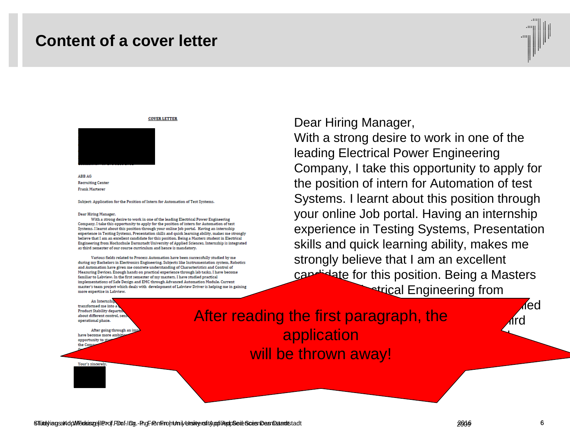#### **Content of a cover letter**



#### **COVER LETTER**



**ARR AG Recruiting Center Frank Marteret** 

Subject: Application for the Position of Intern for Automation of Test Systems.

#### Dear Hiring Manager,

With a strong desire to work in one of the leading Electrical Power Engineering Company, I take this opportunity to apply for the position of intern for Automation of test Systems. I learnt about this position through your online Job portal. Having an internship experience in Testing Systems, Presentation skills and quick learning ability, makes me strongly believe that I am an excellent candidate for this position. Being a Masters student in Electrical Engineering from Hochschule Darmstadt University of Applied Sciences, Internship is integrated as third semester of our course curriculum and hence is mandatory.

Various fields related to Process Automation have been successfully studied by me during my Bachelors in Electronics Engineering. Subjects like Instrumentation system, Robotics and Automation have given me concrete understanding of Characteristics and Control of Measuring Devices. Enough hands on practical experience through lab tasks, I have become familiar to Labview. In the first semester of my masters, I have studied practical implementations of Safe Design and EMC through Advanced Automation Module. Current master's team project which deals with development of Labview Driver is helping me in gaining more expertise in Labview.

#### Dear Hiring Manager,

With a strong desire to work in one of the leading Electrical Power Engineering Company, I take this opportunity to apply for the position of intern for Automation of test Systems. I learnt about this position through your online Job portal. Having an internship experience in Testing Systems, Presentation skills and quick learning ability, makes me strongly believe that I am an excellent candidate for this position. Being a Masters strical Engineering from

An Internsh transformed me into a **Product Stability depar** about different control, set operational phase.

After going through an i have become more amb opportunity to s the Comp

Hochschule Darmstadt University of Applied After reading the first paragraph, the third and application and our course curriculum and  $\sim$ will be thrown away!

Your's sincerely

<Titel aus Kopf/Fusszeile> | Prof. Dr.-Ing. P. Fromm | University of Applied Sciences Darmstadt 2009 6 Studying and Working | Prof. Dr.-Ing. P. Fromm | University of Applied Sciences Darmstadt 2016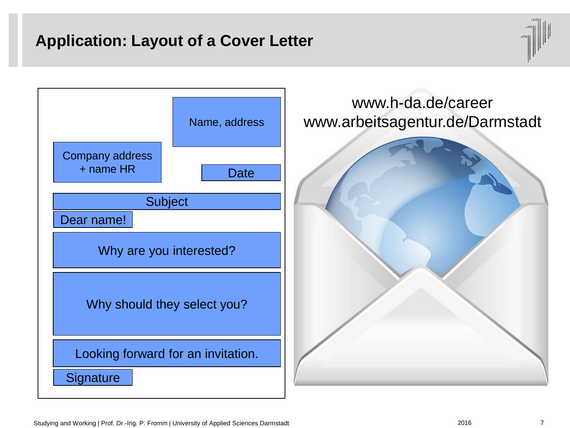### **Application: Layout of a Cover Letter**



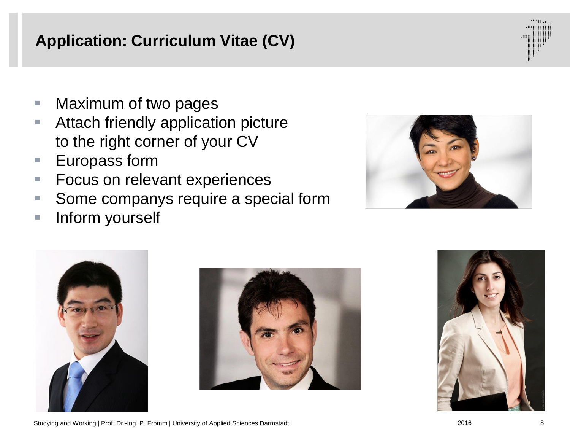# **Application: Curriculum Vitae (CV)**

- **Naximum of two pages**
- **E.** Attach friendly application picture to the right corner of your CV
- Europass form
- **Focus on relevant experiences**
- **Some companys require a special form**
- **Inform yourself**









Studying and Working | Prof. Dr.-Ing. P. Fromm | University of Applied Sciences Darmstadt 2016 2016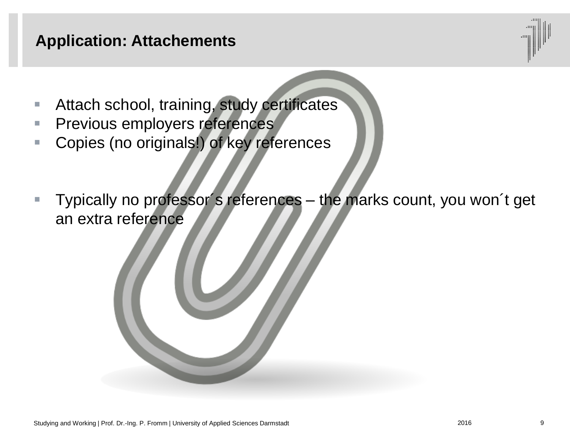#### **Application: Attachements**

- **Attach school, training, study certificates**
- **Previous employers references**
- Copies (no originals!) of key references
- **Typically no professor's references** the marks count, you won't get an extra reference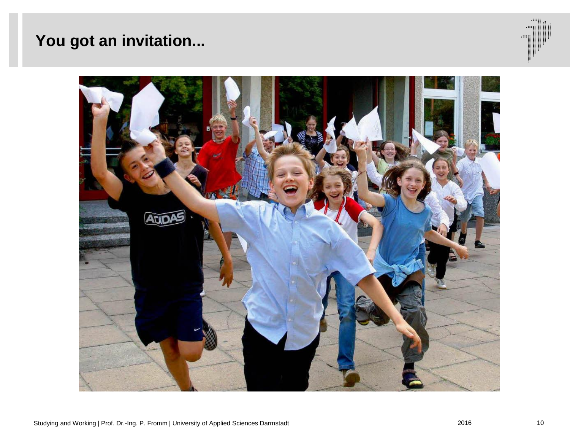## **You got an invitation...**



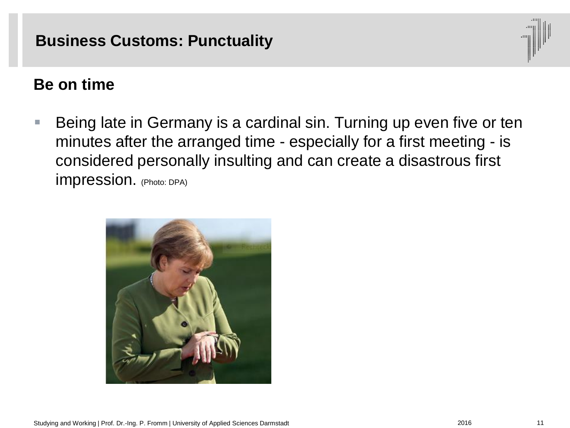#### **Business Customs: Punctuality**



#### **Be on time**

■ Being late in Germany is a cardinal sin. Turning up even five or ten minutes after the arranged time - especially for a first meeting - is considered personally insulting and can create a disastrous first impression. (Photo: DPA)

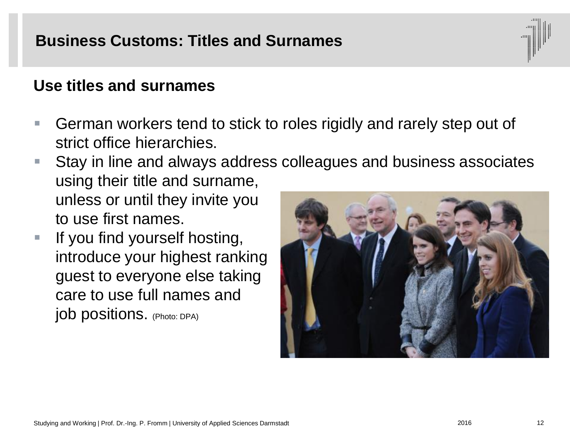#### **Business Customs: Titles and Surnames**

#### **Use titles and surnames**

- German workers tend to stick to roles rigidly and rarely step out of strict office hierarchies.
- Stay in line and always address colleagues and business associates using their title and surname, unless or until they invite you to use first names.
- $\blacksquare$  If you find yourself hosting, introduce your highest ranking guest to everyone else taking care to use full names and job positions. (Photo: DPA)

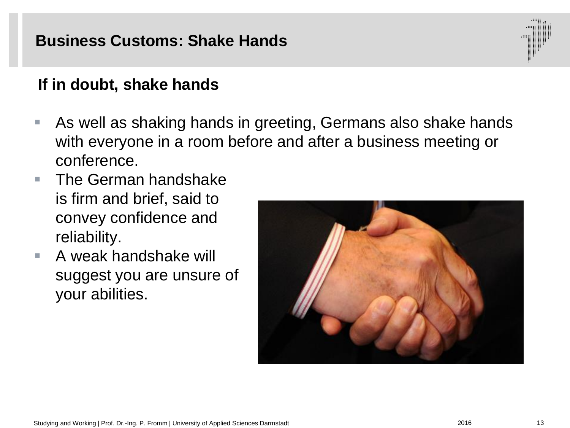#### **Business Customs: Shake Hands**

#### **If in doubt, shake hands**

- As well as shaking hands in greeting, Germans also shake hands with everyone in a room before and after a business meeting or conference.
- $\blacksquare$  The German handshake is firm and brief, said to convey confidence and reliability.
- A weak handshake will suggest you are unsure of your abilities.



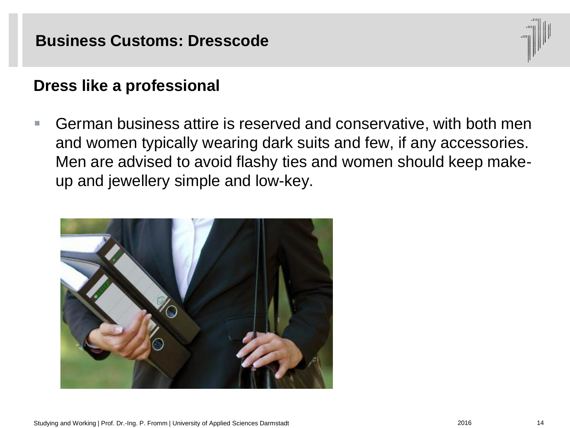#### **Business Customs: Dresscode**

#### **Dress like a professional**

 German business attire is reserved and conservative, with both men and women typically wearing dark suits and few, if any accessories. Men are advised to avoid flashy ties and women should keep makeup and jewellery simple and low-key.

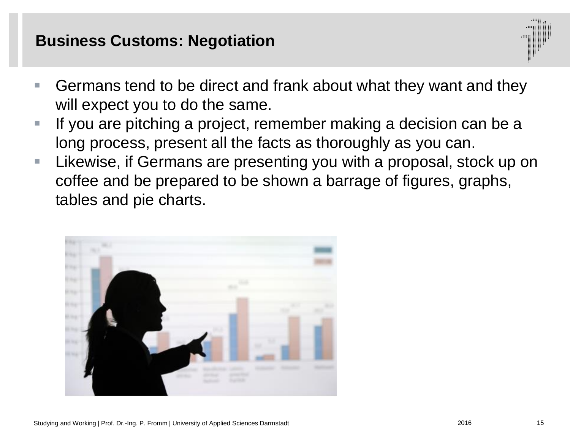#### **Business Customs: Negotiation**



- Germans tend to be direct and frank about what they want and they will expect you to do the same.
- If you are pitching a project, remember making a decision can be a long process, present all the facts as thoroughly as you can.
- **Likewise, if Germans are presenting you with a proposal, stock up on** coffee and be prepared to be shown a barrage of figures, graphs, tables and pie charts.